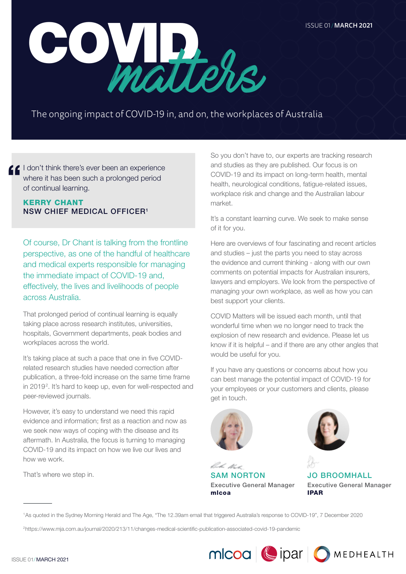

The ongoing impact of COVID-19 in, and on, the workplaces of Australia

I don't think there's ever been an experience where it has been such a prolonged period of continual learning.

# KERRY CHANT NSW CHIEF MEDICAL OFFICER1

Of course, Dr Chant is talking from the frontline perspective, as one of the handful of healthcare and medical experts responsible for managing the immediate impact of COVID-19 and, effectively, the lives and livelihoods of people across Australia.

That prolonged period of continual learning is equally taking place across research institutes, universities, hospitals, Government departments, peak bodies and workplaces across the world.

It's taking place at such a pace that one in five COVIDrelated research studies have needed correction after publication, a three-fold increase on the same time frame in 2019<sup>2</sup>. It's hard to keep up, even for well-respected and peer-reviewed journals.

However, it's easy to understand we need this rapid evidence and information; first as a reaction and now as we seek new ways of coping with the disease and its aftermath. In Australia, the focus is turning to managing COVID-19 and its impact on how we live our lives and how we work.

That's where we step in.

So you don't have to, our experts are tracking research and studies as they are published. Our focus is on COVID-19 and its impact on long-term health, mental health, neurological conditions, fatigue-related issues, workplace risk and change and the Australian labour market.

It's a constant learning curve. We seek to make sense of it for you.

Here are overviews of four fascinating and recent articles and studies – just the parts you need to stay across the evidence and current thinking - along with our own comments on potential impacts for Australian insurers, lawyers and employers. We look from the perspective of managing your own workplace, as well as how you can best support your clients.

COVID Matters will be issued each month, until that wonderful time when we no longer need to track the explosion of new research and evidence. Please let us know if it is helpful – and if there are any other angles that would be useful for you.

If you have any questions or concerns about how you can best manage the potential impact of COVID-19 for your employees or your customers and clients, please get in touch.



bake tha SAM NORTON Executive General Manager mlcoa



JO BROOMHALL Executive General Manager IPAR

1As quoted in the Sydney Morning Herald and The Age, "The 12.39am email that triggered Australia's response to COVID-19", 7 December 2020

2https://www.mja.com.au/journal/2020/213/11/changes-medical-scientific-publication-associated-covid-19-pandemic



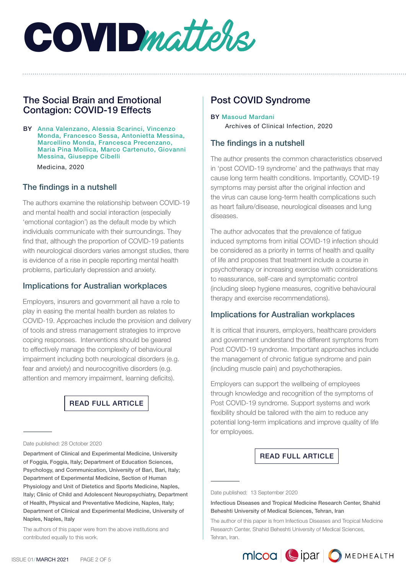

# The Social Brain and Emotional Contagion: COVID-19 Effects

BY Anna Valenzano, Alessia Scarinci, Vincenzo Monda, Francesco Sessa, Antonietta Messina, Marcellino Monda, Francesca Precenzano, Maria Pina Mollica, Marco Cartenuto, Giovanni Messina, Giuseppe Cibelli

Medicina, 2020

## The findings in a nutshell

The authors examine the relationship between COVID-19 and mental health and social interaction (especially 'emotional contagion') as the default mode by which individuals communicate with their surroundings. They find that, although the proportion of COVID-19 patients with neurological disorders varies amongst studies, there is evidence of a rise in people reporting mental health problems, particularly depression and anxiety.

## Implications for Australian workplaces

Employers, insurers and government all have a role to play in easing the mental health burden as relates to COVID-19. Approaches include the provision and delivery of tools and stress management strategies to improve coping responses. Interventions should be geared to effectively manage the complexity of behavioural impairment including both neurological disorders (e.g. fear and anxiety) and neurocognitive disorders (e.g. attention and memory impairment, learning deficits).

#### [READ FULL ARTICLE](https://www.mlcoa.com.au/2021/03/09/the-social-brain-and-emotional-contagion-covid-19-effects/)

Department of Clinical and Experimental Medicine, University of Foggia, Foggia, Italy; Department of Education Sciences, Psychology, and Communication, University of Bari, Bari, Italy; Department of Experimental Medicine, Section of Human Physiology and Unit of Dietetics and Sports Medicine, Naples, Italy; Clinic of Child and Adolescent Neuropsychiatry, Department of Health, Physical and Preventative Medicine, Naples, Italy; Department of Clinical and Experimental Medicine, University of Naples, Naples, Italy

The authors of this paper were from the above institutions and contributed equally to this work.

# Post COVID Syndrome

#### BY Masoud Mardani Archives of Clinical Infection, 2020

## The findings in a nutshell

The author presents the common characteristics observed in 'post COVID-19 syndrome' and the pathways that may cause long term health conditions. Importantly, COVID-19 symptoms may persist after the original infection and the virus can cause long-term health complications such as heart failure/disease, neurological diseases and lung diseases.

The author advocates that the prevalence of fatigue induced symptoms from initial COVID-19 infection should be considered as a priority in terms of health and quality of life and proposes that treatment include a course in psychotherapy or increasing exercise with considerations to reassurance, self-care and symptomatic control (including sleep hygiene measures, cognitive behavioural therapy and exercise recommendations).

## Implications for Australian workplaces

It is critical that insurers, employers, healthcare providers and government understand the different symptoms from Post COVID-19 syndrome. Important approaches include the management of chronic fatigue syndrome and pain (including muscle pain) and psychotherapies.

Employers can support the wellbeing of employees through knowledge and recognition of the symptoms of Post COVID-19 syndrome. Support systems and work flexibility should be tailored with the aim to reduce any potential long-term implications and improve quality of life for employees.

#### [READ FULL ARTICLE](https://www.mlcoa.com.au/2021/03/03/post-covid-syndrome/)

Date published: 13 September 2020



Date published: 28 October 2020

Infectious Diseases and Tropical Medicine Research Center, Shahid Beheshti University of Medical Sciences, Tehran, Iran

The author of this paper is from Infectious Diseases and Tropical Medicine Research Center, Shahid Beheshti University of Medical Sciences, Tehran, Iran.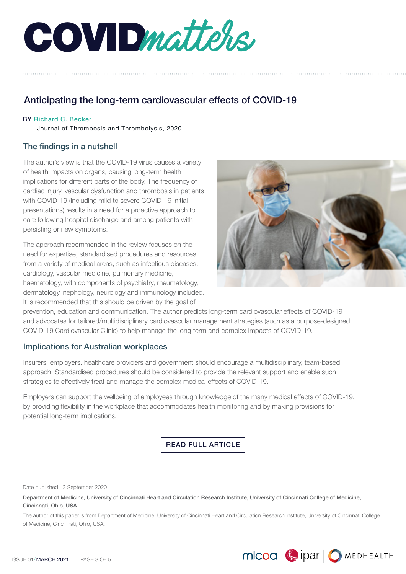

# Anticipating the long-term cardiovascular effects of COVID-19

#### BY Richard C. Becker

Journal of Thrombosis and Thrombolysis, 2020

# The findings in a nutshell

The author's view is that the COVID-19 virus causes a variety of health impacts on organs, causing long-term health implications for different parts of the body. The frequency of cardiac injury, vascular dysfunction and thrombosis in patients with COVID-19 (including mild to severe COVID-19 initial presentations) results in a need for a proactive approach to care following hospital discharge and among patients with persisting or new symptoms.

The approach recommended in the review focuses on the need for expertise, standardised procedures and resources from a variety of medical areas, such as infectious diseases, cardiology, vascular medicine, pulmonary medicine, haematology, with components of psychiatry, rheumatology, dermatology, nephology, neurology and immunology included. It is recommended that this should be driven by the goal of



prevention, education and communication. The author predicts long-term cardiovascular effects of COVID-19 and advocates for tailored/multidisciplinary cardiovascular management strategies (such as a purpose-designed COVID-19 Cardiovascular Clinic) to help manage the long term and complex impacts of COVID-19.

# Implications for Australian workplaces

Insurers, employers, healthcare providers and government should encourage a multidisciplinary, team-based approach. Standardised procedures should be considered to provide the relevant support and enable such strategies to effectively treat and manage the complex medical effects of COVID-19.

Employers can support the wellbeing of employees through knowledge of the many medical effects of COVID-19, by providing flexibility in the workplace that accommodates health monitoring and by making provisions for potential long-term implications.

[READ FULL ARTICLE](https://www.mlcoa.com.au/2021/03/09/anticipating-the-long-term-cardiovascular-effects-of-covid-19/)

Date published: 3 September 2020

Department of Medicine, University of Cincinnati Heart and Circulation Research Institute, University of Cincinnati College of Medicine, Cincinnati, Ohio, USA

The author of this paper is from Department of Medicine, University of Cincinnati Heart and Circulation Research Institute, University of Cincinnati College of Medicine, Cincinnati, Ohio, USA.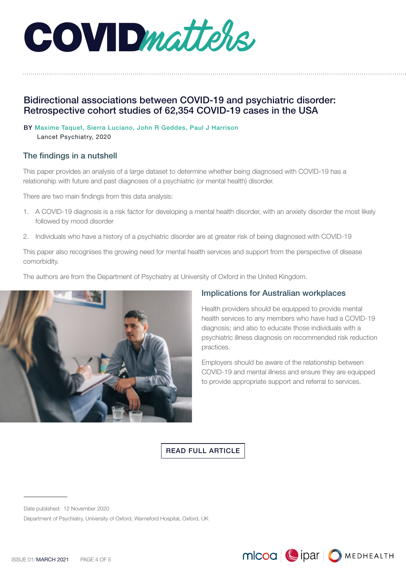COVIDmatters,

# Bidirectional associations between COVID-19 and psychiatric disorder: Retrospective cohort studies of 62,354 COVID-19 cases in the USA

#### BY Maxime Taquet, Sierra Luciano, John R Geddes, Paul J Harrison

Lancet Psychiatry, 2020

## The findings in a nutshell

This paper provides an analysis of a large dataset to determine whether being diagnosed with COVID-19 has a relationship with future and past diagnoses of a psychiatric (or mental health) disorder.

There are two main findings from this data analysis:

- 1. A COVID-19 diagnosis is a risk factor for developing a mental health disorder, with an anxiety disorder the most likely followed by mood disorder
- 2. Individuals who have a history of a psychiatric disorder are at greater risk of being diagnosed with COVID-19

This paper also recognises the growing need for mental health services and support from the perspective of disease comorbidity.

The authors are from the Department of Psychiatry at University of Oxford in the United Kingdom.



# Implications for Australian workplaces

Health providers should be equipped to provide mental health services to any members who have had a COVID-19 diagnosis; and also to educate those individuals with a psychiatric illness diagnosis on recommended risk reduction practices.

Employers should be aware of the relationship between COVID-19 and mental illness and ensure they are equipped to provide appropriate support and referral to services.

MICOO | | DIPAT | O MEDHEALTH

[READ FULL ARTICLE](https://www.mlcoa.com.au/2021/03/09/bidirectional-associations-between-covid-19-and-psychiatric-disorder/)

Date published: 12 November 2020

Department of Psychiatry, University of Oxford, Warneford Hospital, Oxford, UK